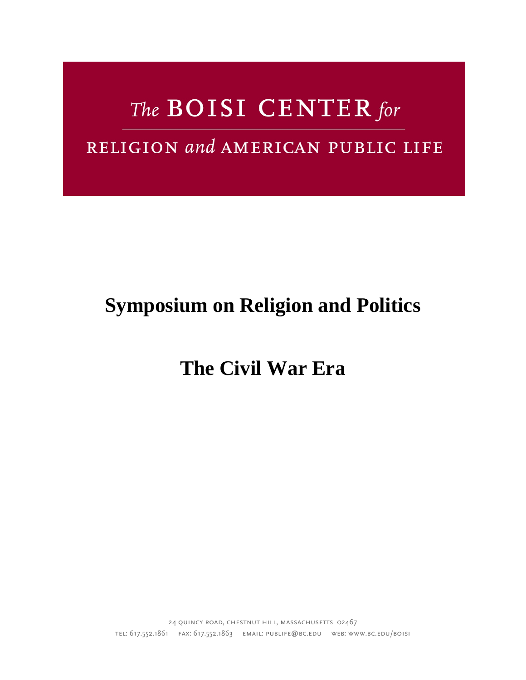# The BOISI CENTER for

## RELIGION and AMERICAN PUBLIC LIFE

## **Symposium on Religion and Politics**

## **The Civil War Era**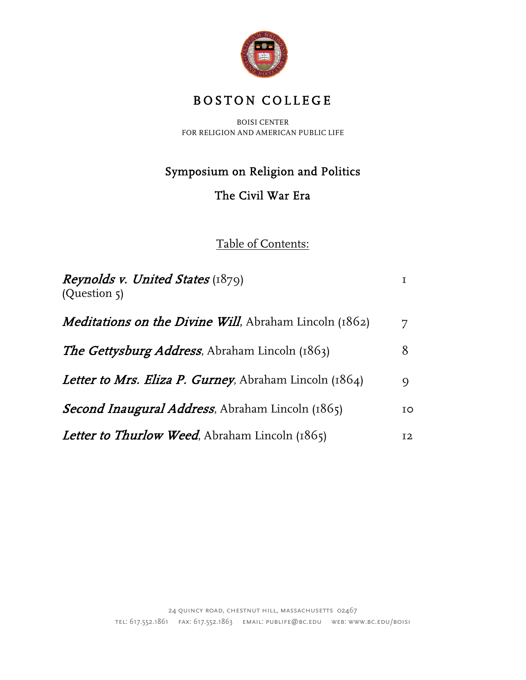

## BOSTON COLLEGE

BOISI CENTER FOR RELIGION AND AMERICAN PUBLIC LIFE

## Symposium on Religion and Politics

## The Civil War Era

## Table of Contents:

| <i>Reynolds v. United States</i> $(1879)$<br>(Question 5)      |         |
|----------------------------------------------------------------|---------|
| <i>Meditations on the Divine Will</i> , Abraham Lincoln (1862) | 7       |
| <i>The Gettysburg Address</i> , Abraham Lincoln (1863)         | 8       |
| Letter to Mrs. Eliza P. Gurney, Abraham Lincoln (1864)         | 9       |
| <i>Second Inaugural Address, Abraham Lincoln (1865)</i>        | 10      |
| Letter to Thurlow Weed, Abraham Lincoln (1865)                 | $12 \,$ |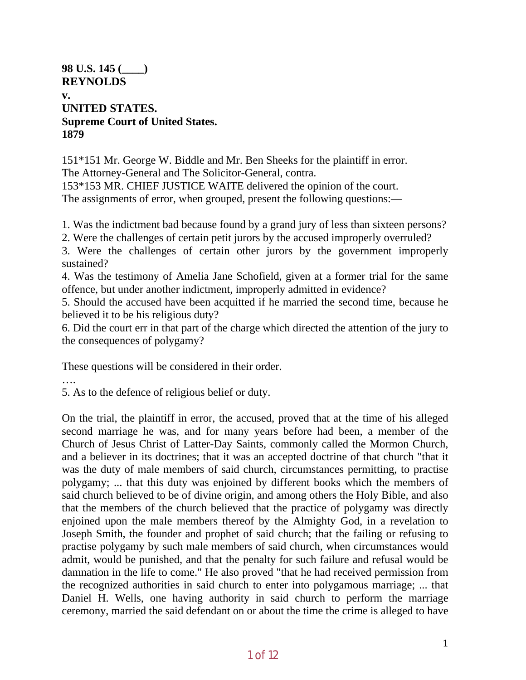#### **98 U.S. 145 (\_\_\_\_) REYNOLDS v. UNITED STATES. Supreme Court of United States. 1879**

151\*151 Mr. George W. Biddle and Mr. Ben Sheeks for the plaintiff in error. The Attorney-General and The Solicitor-General, contra.

153\*153 MR. CHIEF JUSTICE WAITE delivered the opinion of the court. The assignments of error, when grouped, present the following questions:—

1. Was the indictment bad because found by a grand jury of less than sixteen persons?

2. Were the challenges of certain petit jurors by the accused improperly overruled?

3. Were the challenges of certain other jurors by the government improperly sustained?

4. Was the testimony of Amelia Jane Schofield, given at a former trial for the same offence, but under another indictment, improperly admitted in evidence?

5. Should the accused have been acquitted if he married the second time, because he believed it to be his religious duty?

6. Did the court err in that part of the charge which directed the attention of the jury to the consequences of polygamy?

These questions will be considered in their order.

…. 5. As to the defence of religious belief or duty.

On the trial, the plaintiff in error, the accused, proved that at the time of his alleged second marriage he was, and for many years before had been, a member of the Church of Jesus Christ of Latter-Day Saints, commonly called the Mormon Church, and a believer in its doctrines; that it was an accepted doctrine of that church "that it was the duty of male members of said church, circumstances permitting, to practise polygamy; ... that this duty was enjoined by different books which the members of said church believed to be of divine origin, and among others the Holy Bible, and also that the members of the church believed that the practice of polygamy was directly enjoined upon the male members thereof by the Almighty God, in a revelation to Joseph Smith, the founder and prophet of said church; that the failing or refusing to practise polygamy by such male members of said church, when circumstances would admit, would be punished, and that the penalty for such failure and refusal would be damnation in the life to come." He also proved "that he had received permission from the recognized authorities in said church to enter into polygamous marriage; ... that Daniel H. Wells, one having authority in said church to perform the marriage ceremony, married the said defendant on or about the time the crime is alleged to have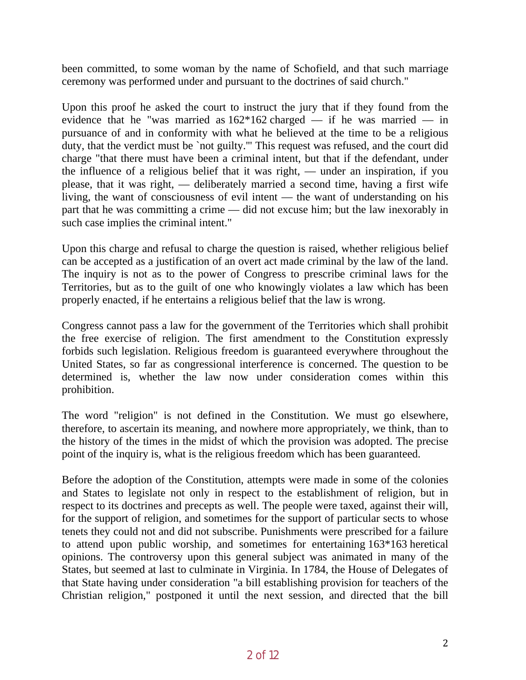been committed, to some woman by the name of Schofield, and that such marriage ceremony was performed under and pursuant to the doctrines of said church."

Upon this proof he asked the court to instruct the jury that if they found from the evidence that he "was married as  $162*162$  charged — if he was married — in pursuance of and in conformity with what he believed at the time to be a religious duty, that the verdict must be `not guilty.'" This request was refused, and the court did charge "that there must have been a criminal intent, but that if the defendant, under the influence of a religious belief that it was right, — under an inspiration, if you please, that it was right, — deliberately married a second time, having a first wife living, the want of consciousness of evil intent — the want of understanding on his part that he was committing a crime — did not excuse him; but the law inexorably in such case implies the criminal intent."

Upon this charge and refusal to charge the question is raised, whether religious belief can be accepted as a justification of an overt act made criminal by the law of the land. The inquiry is not as to the power of Congress to prescribe criminal laws for the Territories, but as to the guilt of one who knowingly violates a law which has been properly enacted, if he entertains a religious belief that the law is wrong.

Congress cannot pass a law for the government of the Territories which shall prohibit the free exercise of religion. The first amendment to the Constitution expressly forbids such legislation. Religious freedom is guaranteed everywhere throughout the United States, so far as congressional interference is concerned. The question to be determined is, whether the law now under consideration comes within this prohibition.

The word "religion" is not defined in the Constitution. We must go elsewhere, therefore, to ascertain its meaning, and nowhere more appropriately, we think, than to the history of the times in the midst of which the provision was adopted. The precise point of the inquiry is, what is the religious freedom which has been guaranteed.

Before the adoption of the Constitution, attempts were made in some of the colonies and States to legislate not only in respect to the establishment of religion, but in respect to its doctrines and precepts as well. The people were taxed, against their will, for the support of religion, and sometimes for the support of particular sects to whose tenets they could not and did not subscribe. Punishments were prescribed for a failure to attend upon public worship, and sometimes for entertaining 163\*163 heretical opinions. The controversy upon this general subject was animated in many of the States, but seemed at last to culminate in Virginia. In 1784, the House of Delegates of that State having under consideration "a bill establishing provision for teachers of the Christian religion," postponed it until the next session, and directed that the bill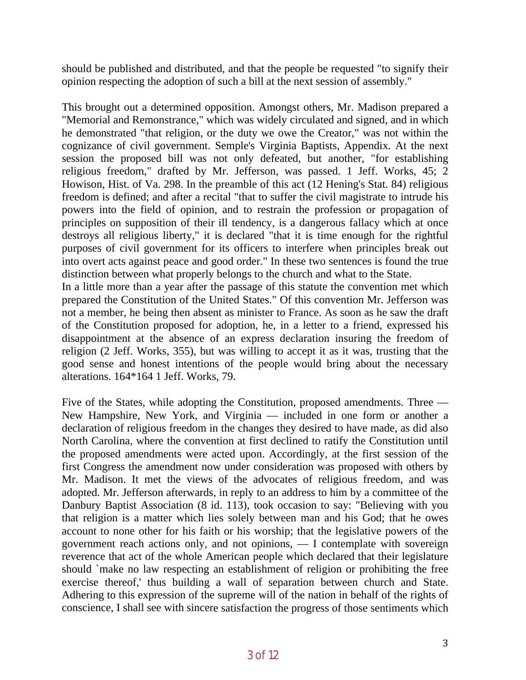should be published and distributed, and that the people be requested "to signify their opinion respecting the adoption of such a bill at the next session of assembly."

This brought out a determined opposition. Amongst others, Mr. Madison prepared a "Memorial and Remonstrance," which was widely circulated and signed, and in which he demonstrated "that religion, or the duty we owe the Creator," was not within the cognizance of civil government. Semple's Virginia Baptists, Appendix. At the next session the proposed bill was not only defeated, but another, "for establishing religious freedom," drafted by Mr. Jefferson, was passed. 1 Jeff. Works, 45; 2 Howison, Hist. of Va. 298. In the preamble of this act (12 Hening's Stat. 84) religious freedom is defined; and after a recital "that to suffer the civil magistrate to intrude his powers into the field of opinion, and to restrain the profession or propagation of principles on supposition of their ill tendency, is a dangerous fallacy which at once destroys all religious liberty," it is declared "that it is time enough for the rightful purposes of civil government for its officers to interfere when principles break out into overt acts against peace and good order." In these two sentences is found the true distinction between what properly belongs to the church and what to the State.

In a little more than a year after the passage of this statute the convention met which prepared the Constitution of the United States." Of this convention Mr. Jefferson was not a member, he being then absent as minister to France. As soon as he saw the draft of the Constitution proposed for adoption, he, in a letter to a friend, expressed his disappointment at the absence of an express declaration insuring the freedom of religion (2 Jeff. Works, 355), but was willing to accept it as it was, trusting that the good sense and honest intentions of the people would bring about the necessary alterations. 164\*164 1 Jeff. Works, 79.

Five of the States, while adopting the Constitution, proposed amendments. Three — New Hampshire, New York, and Virginia — included in one form or another a declaration of religious freedom in the changes they desired to have made, as did also North Carolina, where the convention at first declined to ratify the Constitution until the proposed amendments were acted upon. Accordingly, at the first session of the first Congress the amendment now under consideration was proposed with others by Mr. Madison. It met the views of the advocates of religious freedom, and was adopted. Mr. Jefferson afterwards, in reply to an address to him by a committee of the Danbury Baptist Association (8 id. 113), took occasion to say: "Believing with you that religion is a matter which lies solely between man and his God; that he owes account to none other for his faith or his worship; that the legislative powers of the government reach actions only, and not opinions, — I contemplate with sovereign reverence that act of the whole American people which declared that their legislature should `make no law respecting an establishment of religion or prohibiting the free exercise thereof,' thus building a wall of separation between church and State. Adhering to this expression of the supreme will of the nation in behalf of the rights of conscience, I shall see with sincere satisfaction the progress of those sentiments which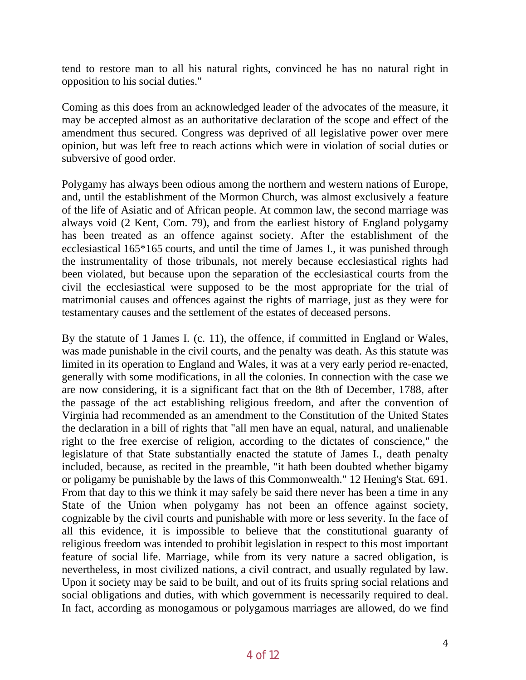tend to restore man to all his natural rights, convinced he has no natural right in opposition to his social duties."

Coming as this does from an acknowledged leader of the advocates of the measure, it may be accepted almost as an authoritative declaration of the scope and effect of the amendment thus secured. Congress was deprived of all legislative power over mere opinion, but was left free to reach actions which were in violation of social duties or subversive of good order.

Polygamy has always been odious among the northern and western nations of Europe, and, until the establishment of the Mormon Church, was almost exclusively a feature of the life of Asiatic and of African people. At common law, the second marriage was always void (2 Kent, Com. 79), and from the earliest history of England polygamy has been treated as an offence against society. After the establishment of the ecclesiastical 165\*165 courts, and until the time of James I., it was punished through the instrumentality of those tribunals, not merely because ecclesiastical rights had been violated, but because upon the separation of the ecclesiastical courts from the civil the ecclesiastical were supposed to be the most appropriate for the trial of matrimonial causes and offences against the rights of marriage, just as they were for testamentary causes and the settlement of the estates of deceased persons.

By the statute of 1 James I. (c. 11), the offence, if committed in England or Wales, was made punishable in the civil courts, and the penalty was death. As this statute was limited in its operation to England and Wales, it was at a very early period re-enacted, generally with some modifications, in all the colonies. In connection with the case we are now considering, it is a significant fact that on the 8th of December, 1788, after the passage of the act establishing religious freedom, and after the convention of Virginia had recommended as an amendment to the Constitution of the United States the declaration in a bill of rights that "all men have an equal, natural, and unalienable right to the free exercise of religion, according to the dictates of conscience," the legislature of that State substantially enacted the statute of James I., death penalty included, because, as recited in the preamble, "it hath been doubted whether bigamy or poligamy be punishable by the laws of this Commonwealth." 12 Hening's Stat. 691. From that day to this we think it may safely be said there never has been a time in any State of the Union when polygamy has not been an offence against society, cognizable by the civil courts and punishable with more or less severity. In the face of all this evidence, it is impossible to believe that the constitutional guaranty of religious freedom was intended to prohibit legislation in respect to this most important feature of social life. Marriage, while from its very nature a sacred obligation, is nevertheless, in most civilized nations, a civil contract, and usually regulated by law. Upon it society may be said to be built, and out of its fruits spring social relations and social obligations and duties, with which government is necessarily required to deal. In fact, according as monogamous or polygamous marriages are allowed, do we find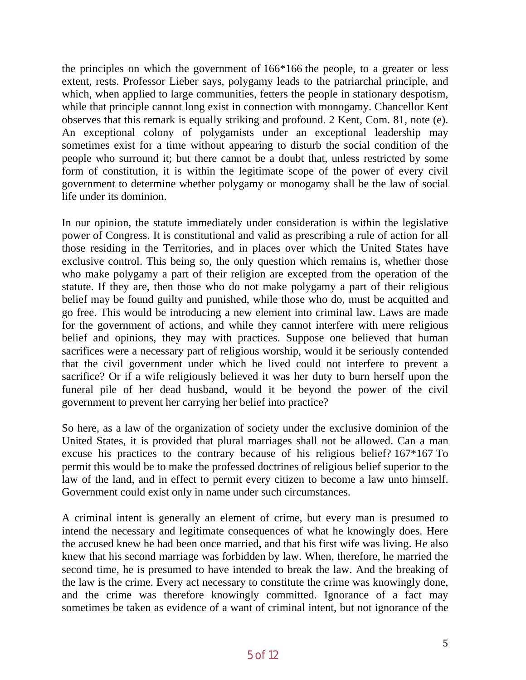the principles on which the government of 166\*166 the people, to a greater or less extent, rests. Professor Lieber says, polygamy leads to the patriarchal principle, and which, when applied to large communities, fetters the people in stationary despotism, while that principle cannot long exist in connection with monogamy. Chancellor Kent observes that this remark is equally striking and profound. 2 Kent, Com. 81, note (e). An exceptional colony of polygamists under an exceptional leadership may sometimes exist for a time without appearing to disturb the social condition of the people who surround it; but there cannot be a doubt that, unless restricted by some form of constitution, it is within the legitimate scope of the power of every civil government to determine whether polygamy or monogamy shall be the law of social life under its dominion.

In our opinion, the statute immediately under consideration is within the legislative power of Congress. It is constitutional and valid as prescribing a rule of action for all those residing in the Territories, and in places over which the United States have exclusive control. This being so, the only question which remains is, whether those who make polygamy a part of their religion are excepted from the operation of the statute. If they are, then those who do not make polygamy a part of their religious belief may be found guilty and punished, while those who do, must be acquitted and go free. This would be introducing a new element into criminal law. Laws are made for the government of actions, and while they cannot interfere with mere religious belief and opinions, they may with practices. Suppose one believed that human sacrifices were a necessary part of religious worship, would it be seriously contended that the civil government under which he lived could not interfere to prevent a sacrifice? Or if a wife religiously believed it was her duty to burn herself upon the funeral pile of her dead husband, would it be beyond the power of the civil government to prevent her carrying her belief into practice?

So here, as a law of the organization of society under the exclusive dominion of the United States, it is provided that plural marriages shall not be allowed. Can a man excuse his practices to the contrary because of his religious belief? 167\*167 To permit this would be to make the professed doctrines of religious belief superior to the law of the land, and in effect to permit every citizen to become a law unto himself. Government could exist only in name under such circumstances.

A criminal intent is generally an element of crime, but every man is presumed to intend the necessary and legitimate consequences of what he knowingly does. Here the accused knew he had been once married, and that his first wife was living. He also knew that his second marriage was forbidden by law. When, therefore, he married the second time, he is presumed to have intended to break the law. And the breaking of the law is the crime. Every act necessary to constitute the crime was knowingly done, and the crime was therefore knowingly committed. Ignorance of a fact may sometimes be taken as evidence of a want of criminal intent, but not ignorance of the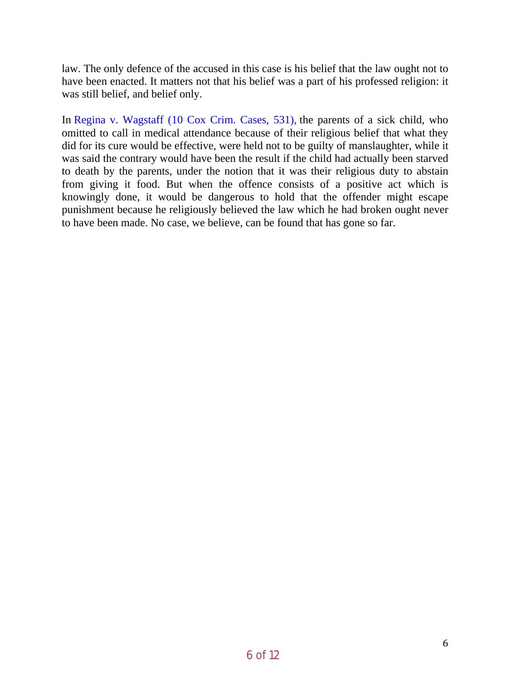law. The only defence of the accused in this case is his belief that the law ought not to have been enacted. It matters not that his belief was a part of his professed religion: it was still belief, and belief only.

In Regina v. Wagstaff (10 Cox Crim. Cases, 531), the parents of a sick child, who omitted to call in medical attendance because of their religious belief that what they did for its cure would be effective, were held not to be guilty of manslaughter, while it was said the contrary would have been the result if the child had actually been starved to death by the parents, under the notion that it was their religious duty to abstain from giving it food. But when the offence consists of a positive act which is knowingly done, it would be dangerous to hold that the offender might escape punishment because he religiously believed the law which he had broken ought never to have been made. No case, we believe, can be found that has gone so far.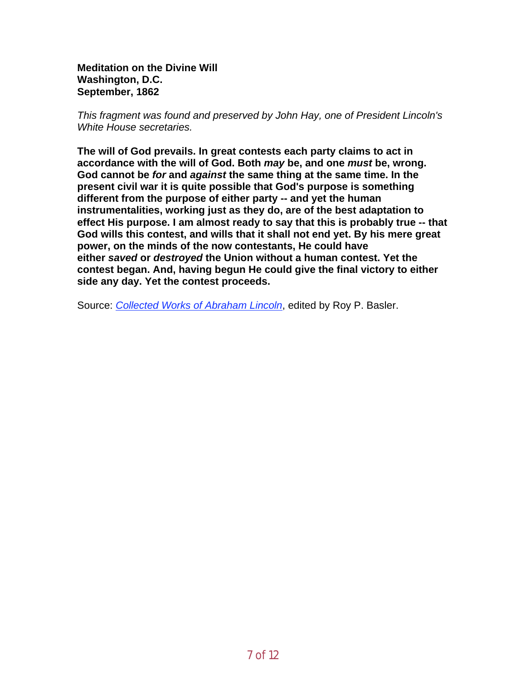**Meditation on the Divine Will Washington, D.C. September, 1862**

*This fragment was found and preserved by John Hay, one of President Lincoln's White House secretaries.* 

**The will of God prevails. In great contests each party claims to act in accordance with the will of God. Both** *may* **be, and one** *must* **be, wrong. God cannot be** *for* **and** *against* **the same thing at the same time. In the present civil war it is quite possible that God's purpose is something different from the purpose of either party -- and yet the human instrumentalities, working just as they do, are of the best adaptation to effect His purpose. I am almost ready to say that this is probably true -- that God wills this contest, and wills that it shall not end yet. By his mere great power, on the minds of the now contestants, He could have either** *saved* **or** *destroyed* **the Union without a human contest. Yet the contest began. And, having begun He could give the final victory to either side any day. Yet the contest proceeds.**

Source: *Collected Works of Abraham Lincoln*, edited by Roy P. Basler.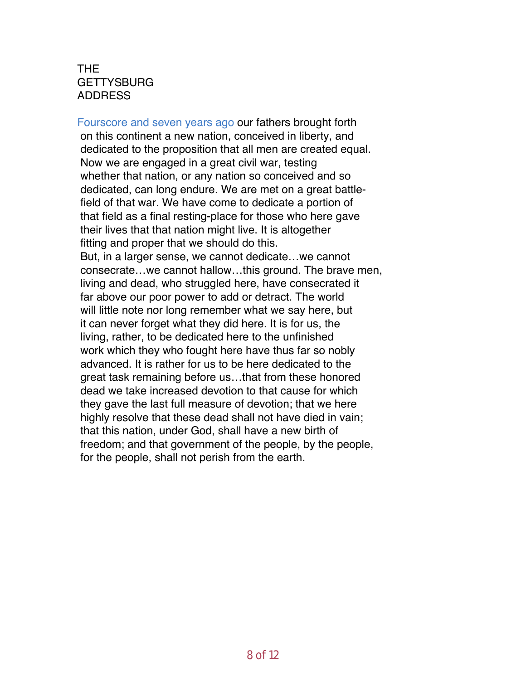#### THE **GETTYSBURG** ADDRESS

Fourscore and seven years ago our fathers brought forth on this continent a new nation, conceived in liberty, and dedicated to the proposition that all men are created equal. Now we are engaged in a great civil war, testing whether that nation, or any nation so conceived and so dedicated, can long endure. We are met on a great battle field of that war. We have come to dedicate a portion of that field as a final resting-place for those who here gave their lives that that nation might live. It is altogether fitting and proper that we should do this. But, in a larger sense, we cannot dedicate…we cannot consecrate…we cannot hallow…this ground. The brave men, living and dead, who struggled here, have consecrated it far above our poor power to add or detract. The world will little note nor long remember what we say here, but it can never forget what they did here. It is for us, the living, rather, to be dedicated here to the unfinished work which they who fought here have thus far so nobly advanced. It is rather for us to be here dedicated to the great task remaining before us…that from these honored dead we take increased devotion to that cause for which they gave the last full measure of devotion; that we here highly resolve that these dead shall not have died in vain; that this nation, under God, shall have a new birth of freedom; and that government of the people, by the people, for the people, shall not perish from the earth.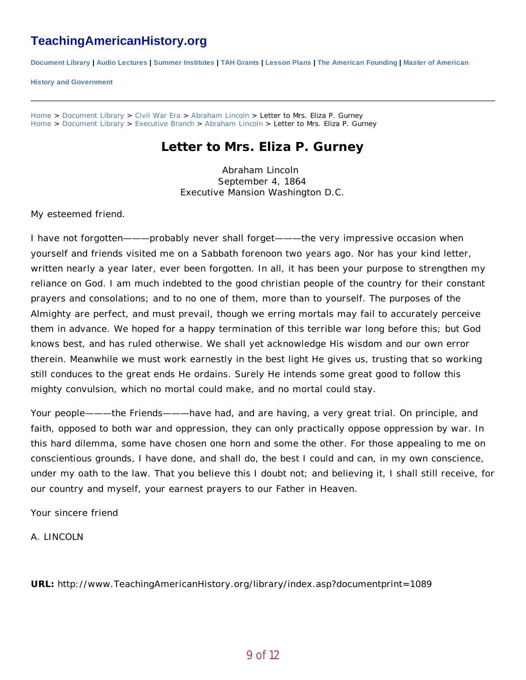## **TeachingAmericanHistory.org**

**Document Library | Audio Lectures | Summer Institutes | TAH Grants | Lesson Plans | The American Founding | Master of American**

**History and Government**

Home > Document Library > Civil War Era > Abraham Lincoln > Letter to Mrs. Eliza P. Gurney Home > Document Library > Executive Branch > Abraham Lincoln > Letter to Mrs. Eliza P. Gurney

### **Letter to Mrs. Eliza P. Gurney**

*Abraham Lincoln* September 4, 1864 Executive Mansion Washington D.C.

My esteemed friend.

I have not forgotten———probably never shall forget———the very impressive occasion when yourself and friends visited me on a Sabbath forenoon two years ago. Nor has your kind letter, written nearly a year later, ever been forgotten. In all, it has been your purpose to strengthen my reliance on God. I am much indebted to the good christian people of the country for their constant prayers and consolations; and to no one of them, more than to yourself. The purposes of the Almighty are perfect, and must prevail, though we erring mortals may fail to accurately perceive them in advance. We hoped for a happy termination of this terrible war long before this; but God knows best, and has ruled otherwise. We shall yet acknowledge His wisdom and our own error therein. Meanwhile we must work earnestly in the best light He gives us, trusting that so working still conduces to the great ends He ordains. Surely He intends some great good to follow this mighty convulsion, which no mortal could make, and no mortal could stay.

Your people———the Friends———have had, and are having, a very great trial. On principle, and faith, opposed to both war and oppression, they can only practically oppose oppression by war. In this hard dilemma, some have chosen one horn and some the other. For those appealing to me on conscientious grounds, I have done, and shall do, the best I could and can, in my own conscience, under my oath to the law. That you believe this I doubt not; and believing it, I shall still receive, for our country and myself, your earnest prayers to our Father in Heaven.

Your sincere friend

A. LINCOLN

**URL:** http://www.TeachingAmericanHistory.org/library/index.asp?documentprint=1089

#### 9 of 12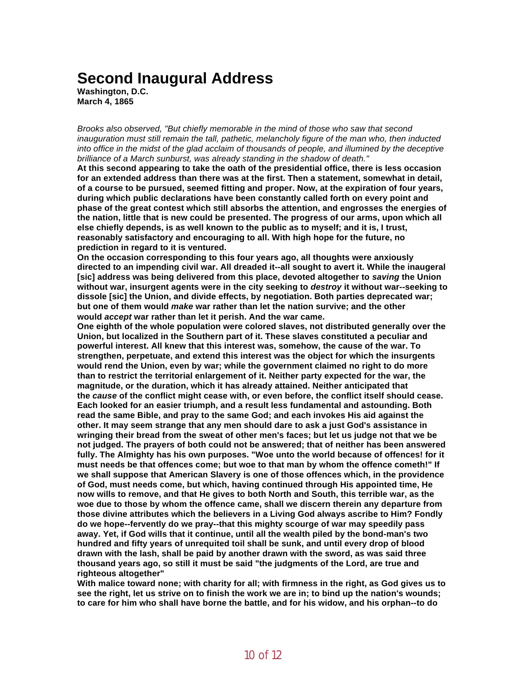## **Second Inaugural Address**

**Washington, D.C. March 4, 1865**

*Brooks also observed, "But chiefly memorable in the mind of those who saw that second inauguration must still remain the tall, pathetic, melancholy figure of the man who, then inducted into office in the midst of the glad acclaim of thousands of people, and illumined by the deceptive brilliance of a March sunburst, was already standing in the shadow of death."*

**At this second appearing to take the oath of the presidential office, there is less occasion for an extended address than there was at the first. Then a statement, somewhat in detail, of a course to be pursued, seemed fitting and proper. Now, at the expiration of four years, during which public declarations have been constantly called forth on every point and phase of the great contest which still absorbs the attention, and engrosses the energies of the nation, little that is new could be presented. The progress of our arms, upon which all else chiefly depends, is as well known to the public as to myself; and it is, I trust, reasonably satisfactory and encouraging to all. With high hope for the future, no prediction in regard to it is ventured.**

**On the occasion corresponding to this four years ago, all thoughts were anxiously directed to an impending civil war. All dreaded it--all sought to avert it. While the inaugeral [sic] address was being delivered from this place, devoted altogether to** *saving* **the Union without war, insurgent agents were in the city seeking to** *destroy* **it without war--seeking to dissole [sic] the Union, and divide effects, by negotiation. Both parties deprecated war; but one of them would** *make* **war rather than let the nation survive; and the other would** *accept* **war rather than let it perish. And the war came.**

**One eighth of the whole population were colored slaves, not distributed generally over the Union, but localized in the Southern part of it. These slaves constituted a peculiar and powerful interest. All knew that this interest was, somehow, the cause of the war. To strengthen, perpetuate, and extend this interest was the object for which the insurgents would rend the Union, even by war; while the government claimed no right to do more than to restrict the territorial enlargement of it. Neither party expected for the war, the magnitude, or the duration, which it has already attained. Neither anticipated that the** *cause* **of the conflict might cease with, or even before, the conflict itself should cease. Each looked for an easier triumph, and a result less fundamental and astounding. Both read the same Bible, and pray to the same God; and each invokes His aid against the other. It may seem strange that any men should dare to ask a just God's assistance in wringing their bread from the sweat of other men's faces; but let us judge not that we be not judged. The prayers of both could not be answered; that of neither has been answered fully. The Almighty has his own purposes. "Woe unto the world because of offences! for it must needs be that offences come; but woe to that man by whom the offence cometh!" If we shall suppose that American Slavery is one of those offences which, in the providence of God, must needs come, but which, having continued through His appointed time, He now wills to remove, and that He gives to both North and South, this terrible war, as the woe due to those by whom the offence came, shall we discern therein any departure from those divine attributes which the believers in a Living God always ascribe to Him? Fondly do we hope--fervently do we pray--that this mighty scourge of war may speedily pass away. Yet, if God wills that it continue, until all the wealth piled by the bond-man's two hundred and fifty years of unrequited toil shall be sunk, and until every drop of blood drawn with the lash, shall be paid by another drawn with the sword, as was said three thousand years ago, so still it must be said "the judgments of the Lord, are true and righteous altogether"**

**With malice toward none; with charity for all; with firmness in the right, as God gives us to see the right, let us strive on to finish the work we are in; to bind up the nation's wounds; to care for him who shall have borne the battle, and for his widow, and his orphan--to do**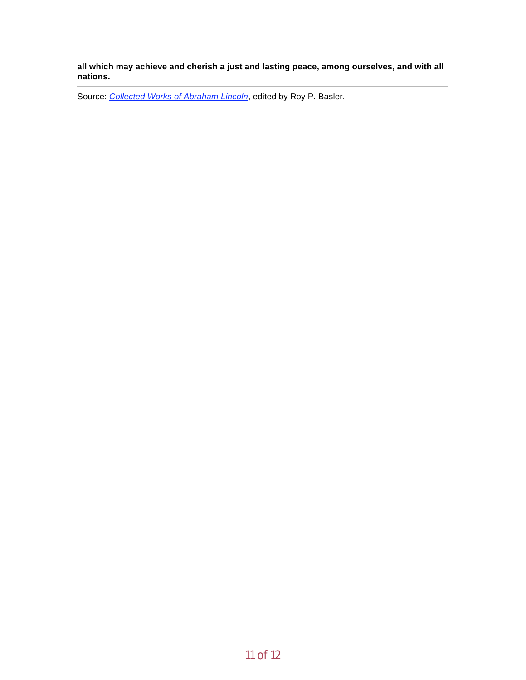**all which may achieve and cherish a just and lasting peace, among ourselves, and with all nations.**

Source: *Collected Works of Abraham Lincoln*, edited by Roy P. Basler.